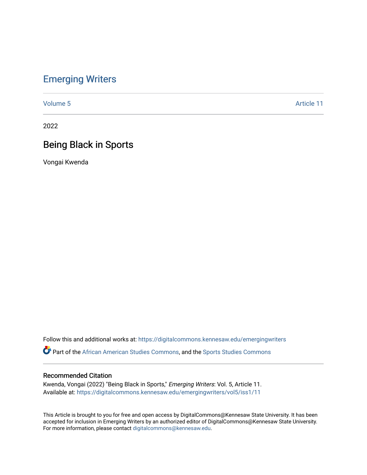# [Emerging Writers](https://digitalcommons.kennesaw.edu/emergingwriters)

[Volume 5](https://digitalcommons.kennesaw.edu/emergingwriters/vol5) Article 11

2022

# Being Black in Sports

Vongai Kwenda

Follow this and additional works at: [https://digitalcommons.kennesaw.edu/emergingwriters](https://digitalcommons.kennesaw.edu/emergingwriters?utm_source=digitalcommons.kennesaw.edu%2Femergingwriters%2Fvol5%2Fiss1%2F11&utm_medium=PDF&utm_campaign=PDFCoverPages) 

**Part of the [African American Studies Commons,](http://network.bepress.com/hgg/discipline/567?utm_source=digitalcommons.kennesaw.edu%2Femergingwriters%2Fvol5%2Fiss1%2F11&utm_medium=PDF&utm_campaign=PDFCoverPages) and the [Sports Studies Commons](http://network.bepress.com/hgg/discipline/1198?utm_source=digitalcommons.kennesaw.edu%2Femergingwriters%2Fvol5%2Fiss1%2F11&utm_medium=PDF&utm_campaign=PDFCoverPages)** 

#### Recommended Citation

Kwenda, Vongai (2022) "Being Black in Sports," Emerging Writers: Vol. 5, Article 11. Available at: [https://digitalcommons.kennesaw.edu/emergingwriters/vol5/iss1/11](https://digitalcommons.kennesaw.edu/emergingwriters/vol5/iss1/11?utm_source=digitalcommons.kennesaw.edu%2Femergingwriters%2Fvol5%2Fiss1%2F11&utm_medium=PDF&utm_campaign=PDFCoverPages)

This Article is brought to you for free and open access by DigitalCommons@Kennesaw State University. It has been accepted for inclusion in Emerging Writers by an authorized editor of DigitalCommons@Kennesaw State University. For more information, please contact [digitalcommons@kennesaw.edu.](mailto:digitalcommons@kennesaw.edu)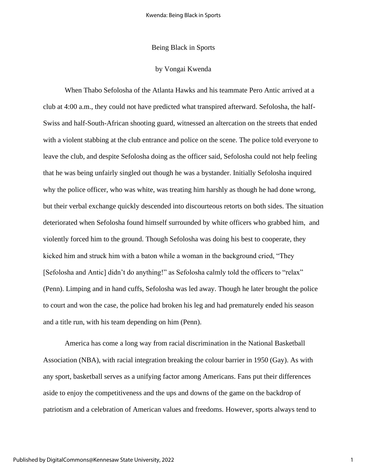### Being Black in Sports

#### by Vongai Kwenda

When Thabo Sefolosha of the Atlanta Hawks and his teammate Pero Antic arrived at a club at 4:00 a.m., they could not have predicted what transpired afterward. Sefolosha, the half-Swiss and half-South-African shooting guard, witnessed an altercation on the streets that ended with a violent stabbing at the club entrance and police on the scene. The police told everyone to leave the club, and despite Sefolosha doing as the officer said, Sefolosha could not help feeling that he was being unfairly singled out though he was a bystander. Initially Sefolosha inquired why the police officer, who was white, was treating him harshly as though he had done wrong, but their verbal exchange quickly descended into discourteous retorts on both sides. The situation deteriorated when Sefolosha found himself surrounded by white officers who grabbed him, and violently forced him to the ground. Though Sefolosha was doing his best to cooperate, they kicked him and struck him with a baton while a woman in the background cried, "They [Sefolosha and Antic] didn't do anything!" as Sefolosha calmly told the officers to "relax" (Penn). Limping and in hand cuffs, Sefolosha was led away. Though he later brought the police to court and won the case, the police had broken his leg and had prematurely ended his season and a title run, with his team depending on him (Penn).

America has come a long way from racial discrimination in the National Basketball Association (NBA), with racial integration breaking the colour barrier in 1950 (Gay). As with any sport, basketball serves as a unifying factor among Americans. Fans put their differences aside to enjoy the competitiveness and the ups and downs of the game on the backdrop of patriotism and a celebration of American values and freedoms. However, sports always tend to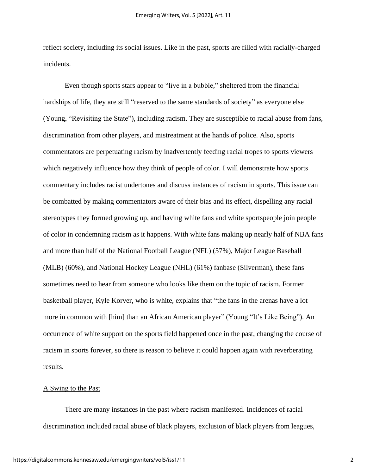reflect society, including its social issues. Like in the past, sports are filled with racially-charged incidents.

Even though sports stars appear to "live in a bubble," sheltered from the financial hardships of life, they are still "reserved to the same standards of society" as everyone else (Young, "Revisiting the State"), including racism. They are susceptible to racial abuse from fans, discrimination from other players, and mistreatment at the hands of police. Also, sports commentators are perpetuating racism by inadvertently feeding racial tropes to sports viewers which negatively influence how they think of people of color. I will demonstrate how sports commentary includes racist undertones and discuss instances of racism in sports. This issue can be combatted by making commentators aware of their bias and its effect, dispelling any racial stereotypes they formed growing up, and having white fans and white sportspeople join people of color in condemning racism as it happens. With white fans making up nearly half of NBA fans and more than half of the National Football League (NFL) (57%), Major League Baseball (MLB) (60%), and National Hockey League (NHL) (61%) fanbase (Silverman), these fans sometimes need to hear from someone who looks like them on the topic of racism. Former basketball player, Kyle Korver, who is white, explains that "the fans in the arenas have a lot more in common with [him] than an African American player" (Young "It's Like Being"). An occurrence of white support on the sports field happened once in the past, changing the course of racism in sports forever, so there is reason to believe it could happen again with reverberating results.

#### A Swing to the Past

There are many instances in the past where racism manifested. Incidences of racial discrimination included racial abuse of black players, exclusion of black players from leagues,

2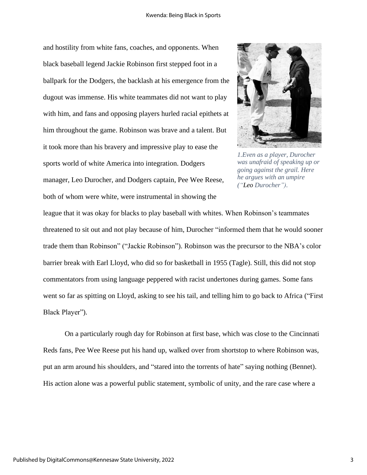and hostility from white fans, coaches, and opponents. When black baseball legend Jackie Robinson first stepped foot in a ballpark for the Dodgers, the backlash at his emergence from the dugout was immense. His white teammates did not want to play with him, and fans and opposing players hurled racial epithets at him throughout the game. Robinson was brave and a talent. But it took more than his bravery and impressive play to ease the sports world of white America into integration. Dodgers manager, Leo Durocher, and Dodgers captain, Pee Wee Reese, both of whom were white, were instrumental in showing the



*1.Even as a player, Durocher was unafraid of speaking up or going against the grail. Here he argues with an umpire ("Leo Durocher").*

league that it was okay for blacks to play baseball with whites. When Robinson's teammates threatened to sit out and not play because of him, Durocher "informed them that he would sooner trade them than Robinson" ("Jackie Robinson"). Robinson was the precursor to the NBA's color barrier break with Earl Lloyd, who did so for basketball in 1955 (Tagle). Still, this did not stop commentators from using language peppered with racist undertones during games. Some fans went so far as spitting on Lloyd, asking to see his tail, and telling him to go back to Africa ("First Black Player").

On a particularly rough day for Robinson at first base, which was close to the Cincinnati Reds fans, Pee Wee Reese put his hand up, walked over from shortstop to where Robinson was, put an arm around his shoulders, and "stared into the torrents of hate" saying nothing (Bennet). His action alone was a powerful public statement, symbolic of unity, and the rare case where a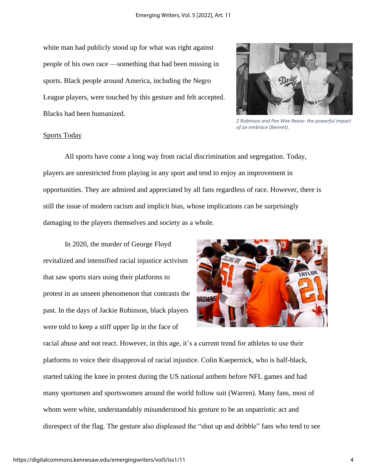white man had publicly stood up for what was right against people of his own race —something that had been missing in sports. Black people around America, including the Negro League players, were touched by this gesture and felt accepted. Blacks had been humanized.



*2 Robinson and Pee Wee Reese: the powerful impact of an embrace (Bennet).*

### Sports Today

All sports have come a long way from racial discrimination and segregation. Today, players are unrestricted from playing in any sport and tend to enjoy an improvement in opportunities. They are admired and appreciated by all fans regardless of race. However, there is still the issue of modern racism and implicit bias, whose implications can be surprisingly damaging to the players themselves and society as a whole.

In 2020, the murder of George Floyd revitalized and intensified racial injustice activism that saw sports stars using their platforms to protest in an unseen phenomenon that contrasts the past. In the days of Jackie Robinson, black players were told to keep a stiff upper lip in the face of



racial abuse and not react. However, in this age, it's a current trend for athletes to use their platforms to voice their disapproval of racial injustice. Colin Kaepernick, who is half-black, started taking the knee in protest during the US national anthem before NFL games and had many sportsmen and sportswomen around the world follow suit (Warren). Many fans, most of whom were white, understandably misunderstood his gesture to be an unpatriotic act and disrespect of the flag. The gesture also displeased the "shut up and dribble" fans who tend to see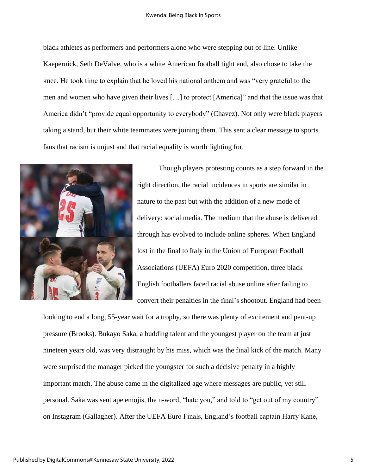#### Kwenda: Being Black in Sports

black athletes as performers and performers alone who were stepping out of line. Unlike Kaepernick, Seth DeValve, who is a white American football tight end, also chose to take the knee. He took time to explain that he loved his national anthem and was "very grateful to the men and women who have given their lives […] to protect [America]" and that the issue was that America didn't "provide equal opportunity to everybody" (Chavez). Not only were black players taking a stand, but their white teammates were joining them. This sent a clear message to sports fans that racism is unjust and that racial equality is worth fighting for.



Though players protesting counts as a step forward in the right direction, the racial incidences in sports are similar in nature to the past but with the addition of a new mode of delivery: social media. The medium that the abuse is delivered through has evolved to include online spheres. When England lost in the final to Italy in the Union of European Football Associations (UEFA) Euro 2020 competition, three black English footballers faced racial abuse online after failing to convert their penalties in the final's shootout. England had been

looking to end a long, 55-year wait for a trophy, so there was plenty of excitement and pent-up pressure (Brooks). Bukayo Saka, a budding talent and the youngest player on the team at just nineteen years old, was very distraught by his miss, which was the final kick of the match. Many were surprised the manager picked the youngster for such a decisive penalty in a highly important match. The abuse came in the digitalized age where messages are public, yet still personal. Saka was sent ape emojis, the n-word, "hate you," and told to "get out of my country" on Instagram (Gallagher). After the UEFA Euro Finals, England's football captain Harry Kane,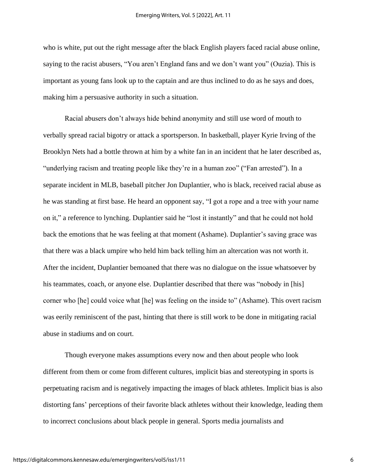who is white, put out the right message after the black English players faced racial abuse online, saying to the racist abusers, "You aren't England fans and we don't want you" (Ouzia). This is important as young fans look up to the captain and are thus inclined to do as he says and does, making him a persuasive authority in such a situation.

Racial abusers don't always hide behind anonymity and still use word of mouth to verbally spread racial bigotry or attack a sportsperson. In basketball, player Kyrie Irving of the Brooklyn Nets had a bottle thrown at him by a white fan in an incident that he later described as, "underlying racism and treating people like they're in a human zoo" ("Fan arrested"). In a separate incident in MLB, baseball pitcher Jon Duplantier, who is black, received racial abuse as he was standing at first base. He heard an opponent say, "I got a rope and a tree with your name on it," a reference to lynching. Duplantier said he "lost it instantly" and that he could not hold back the emotions that he was feeling at that moment (Ashame). Duplantier's saving grace was that there was a black umpire who held him back telling him an altercation was not worth it. After the incident, Duplantier bemoaned that there was no dialogue on the issue whatsoever by his teammates, coach, or anyone else. Duplantier described that there was "nobody in [his] corner who [he] could voice what [he] was feeling on the inside to" (Ashame). This overt racism was eerily reminiscent of the past, hinting that there is still work to be done in mitigating racial abuse in stadiums and on court.

Though everyone makes assumptions every now and then about people who look different from them or come from different cultures, implicit bias and stereotyping in sports is perpetuating racism and is negatively impacting the images of black athletes. Implicit bias is also distorting fans' perceptions of their favorite black athletes without their knowledge, leading them to incorrect conclusions about black people in general. Sports media journalists and

6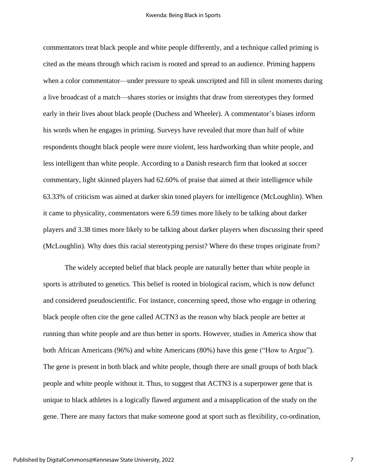commentators treat black people and white people differently, and a technique called priming is cited as the means through which racism is rooted and spread to an audience. Priming happens when a color commentator—under pressure to speak unscripted and fill in silent moments during a live broadcast of a match—shares stories or insights that draw from stereotypes they formed early in their lives about black people (Duchess and Wheeler). A commentator's biases inform his words when he engages in priming. Surveys have revealed that more than half of white respondents thought black people were more violent, less hardworking than white people, and less intelligent than white people. According to a Danish research firm that looked at soccer commentary, light skinned players had 62.60% of praise that aimed at their intelligence while 63.33% of criticism was aimed at darker skin toned players for intelligence (McLoughlin). When it came to physicality, commentators were 6.59 times more likely to be talking about darker players and 3.38 times more likely to be talking about darker players when discussing their speed (McLoughlin). Why does this racial stereotyping persist? Where do these tropes originate from?

The widely accepted belief that black people are naturally better than white people in sports is attributed to genetics. This belief is rooted in biological racism, which is now defunct and considered pseudoscientific. For instance, concerning speed, those who engage in othering black people often cite the gene called ACTN3 as the reason why black people are better at running than white people and are thus better in sports. However, studies in America show that both African Americans (96%) and white Americans (80%) have this gene ("How to Argue"). The gene is present in both black and white people, though there are small groups of both black people and white people without it. Thus, to suggest that ACTN3 is a superpower gene that is unique to black athletes is a logically flawed argument and a misapplication of the study on the gene. There are many factors that make someone good at sport such as flexibility, co-ordination,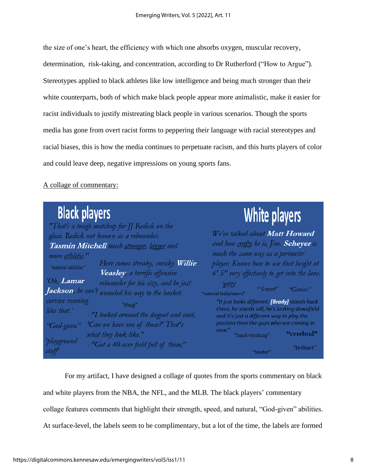the size of one's heart, the efficiency with which one absorbs oxygen, muscular recovery, determination, risk-taking, and concentration, according to Dr Rutherford ("How to Argue"). Stereotypes applied to black athletes like low intelligence and being much stronger than their white counterparts, both of which make black people appear more animalistic, make it easier for racist individuals to justify mistreating black people in various scenarios. Though the sports media has gone from overt racist forms to peppering their language with racial stereotypes and racial biases, this is how the media continues to perpetuate racism, and this hurts players of color and could leave deep, negative impressions on young sports fans.

## A collage of commentary:

| <b>Black players</b>                                                                                                                                                                                                                                                                                                                                                                    | White players                                                                                                                                                                                                                                                                                                                                               |
|-----------------------------------------------------------------------------------------------------------------------------------------------------------------------------------------------------------------------------------------------------------------------------------------------------------------------------------------------------------------------------------------|-------------------------------------------------------------------------------------------------------------------------------------------------------------------------------------------------------------------------------------------------------------------------------------------------------------------------------------------------------------|
| "That's a tough matchup for JJ Redick on the<br>glass. Redick not known as a rebounder.<br>Tasmin Mitchell much stronger, bigger and<br>more athletic."<br>Here comes streaky, sneaky Willie<br>"natural abilities"                                                                                                                                                                     | We've talked about Matt Howard<br>and how crafty he is, Jim. Scheyer is<br>much the same way as a perimeter<br>player. Knows how to use that height at                                                                                                                                                                                                      |
| Veasley, a terrific offensive<br>'Oh, Lamar<br>rebounder for his size, and he just<br><b>Jackson</b> , he can't <sub>weaseled his way to the basket.</sub><br>survive running<br>"thug"<br>like that.'<br>- "I looked around the dugout and said,<br>'Can we have one of those?' That's<br>"God-given"<br>what they look like."<br>'playground<br>- "Get a 40-acre field full of them," | 6' 5" very effectively to get into the lane.<br>'gritty'<br>"Smart"<br>"Genius"<br>"natural ballplayers"<br>"It just looks different: [Brady] stands back<br>there, he stands tall, he's looking downfield<br>and it's just a different way to play the<br>position than the guys who are coming in<br>now."<br>"cerebral"<br>"hard-working"<br>"brilliant" |

For my artifact, I have designed a collage of quotes from the sports commentary on black and white players from the NBA, the NFL, and the MLB. The black players' commentary collage features comments that highlight their strength, speed, and natural, "God-given" abilities. At surface-level, the labels seem to be complimentary, but a lot of the time, the labels are formed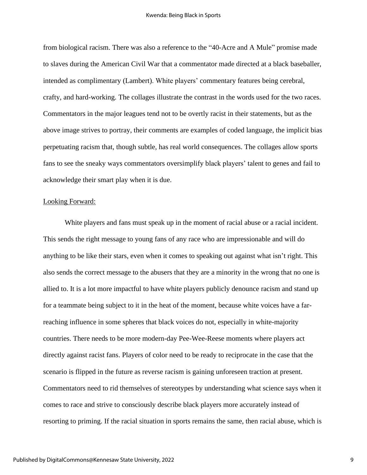from biological racism. There was also a reference to the "40-Acre and A Mule" promise made to slaves during the American Civil War that a commentator made directed at a black baseballer, intended as complimentary (Lambert). White players' commentary features being cerebral, crafty, and hard-working. The collages illustrate the contrast in the words used for the two races. Commentators in the major leagues tend not to be overtly racist in their statements, but as the above image strives to portray, their comments are examples of coded language, the implicit bias perpetuating racism that, though subtle, has real world consequences. The collages allow sports fans to see the sneaky ways commentators oversimplify black players' talent to genes and fail to acknowledge their smart play when it is due.

#### Looking Forward:

White players and fans must speak up in the moment of racial abuse or a racial incident. This sends the right message to young fans of any race who are impressionable and will do anything to be like their stars, even when it comes to speaking out against what isn't right. This also sends the correct message to the abusers that they are a minority in the wrong that no one is allied to. It is a lot more impactful to have white players publicly denounce racism and stand up for a teammate being subject to it in the heat of the moment, because white voices have a farreaching influence in some spheres that black voices do not, especially in white-majority countries. There needs to be more modern-day Pee-Wee-Reese moments where players act directly against racist fans. Players of color need to be ready to reciprocate in the case that the scenario is flipped in the future as reverse racism is gaining unforeseen traction at present. Commentators need to rid themselves of stereotypes by understanding what science says when it comes to race and strive to consciously describe black players more accurately instead of resorting to priming. If the racial situation in sports remains the same, then racial abuse, which is

9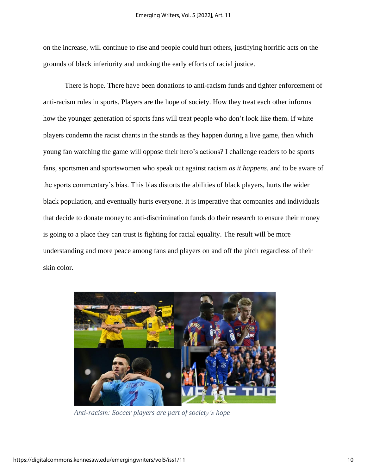on the increase, will continue to rise and people could hurt others, justifying horrific acts on the grounds of black inferiority and undoing the early efforts of racial justice.

There is hope. There have been donations to anti-racism funds and tighter enforcement of anti-racism rules in sports. Players are the hope of society. How they treat each other informs how the younger generation of sports fans will treat people who don't look like them. If white players condemn the racist chants in the stands as they happen during a live game, then which young fan watching the game will oppose their hero's actions? I challenge readers to be sports fans, sportsmen and sportswomen who speak out against racism *as it happens,* and to be aware of the sports commentary's bias. This bias distorts the abilities of black players, hurts the wider black population, and eventually hurts everyone. It is imperative that companies and individuals that decide to donate money to anti-discrimination funds do their research to ensure their money is going to a place they can trust is fighting for racial equality. The result will be more understanding and more peace among fans and players on and off the pitch regardless of their skin color.



*Anti-racism: Soccer players are part of society's hope*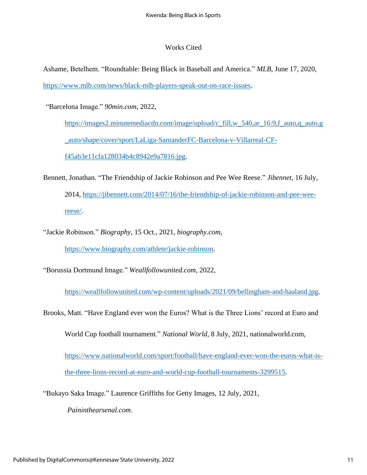## Works Cited

Ashame, Betelhem. "Roundtable: Being Black in Baseball and America." *MLB*, June 17, 2020, [https://www.mlb.com/news/black-mlb-players-speak-out-on-race-issues.](https://www.mlb.com/news/black-mlb-players-speak-out-on-race-issues)

"Barcelona Image." *90min.com*, 2022,

[https://images2.minutemediacdn.com/image/upload/c\\_fill,w\\_540,ar\\_16:9,f\\_auto,q\\_auto,g](https://images2.minutemediacdn.com/image/upload/c_fill,w_540,ar_16:9,f_auto,q_auto,g_auto/shape/cover/sport/LaLiga-SantanderFC-Barcelona-v-Villarreal-CF-f45ab3e11cfa128034b4c8942e9a7816.jpg) [\\_auto/shape/cover/sport/LaLiga-SantanderFC-Barcelona-v-Villarreal-CF](https://images2.minutemediacdn.com/image/upload/c_fill,w_540,ar_16:9,f_auto,q_auto,g_auto/shape/cover/sport/LaLiga-SantanderFC-Barcelona-v-Villarreal-CF-f45ab3e11cfa128034b4c8942e9a7816.jpg)[f45ab3e11cfa128034b4c8942e9a7816.jpg.](https://images2.minutemediacdn.com/image/upload/c_fill,w_540,ar_16:9,f_auto,q_auto,g_auto/shape/cover/sport/LaLiga-SantanderFC-Barcelona-v-Villarreal-CF-f45ab3e11cfa128034b4c8942e9a7816.jpg)

- Bennett, Jonathan. "The Friendship of Jackie Robinson and Pee Wee Reese." *Jibennet*, 16 July, 2014, [https://jibennett.com/2014/07/16/the-friendship-of-jackie-robinson-and-pee-wee](https://jibennett.com/2014/07/16/the-friendship-of-jackie-robinson-and-pee-wee-reese/)[reese/.](https://jibennett.com/2014/07/16/the-friendship-of-jackie-robinson-and-pee-wee-reese/)
- "Jackie Robinson." *Biography*, 15 Oct., 2021, *biography.com,* [https://www.biography.com/athlete/jackie-robinson.](https://www.biography.com/athlete/jackie-robinson)

"Borussia Dortmund Image." *Weallfollowunited.com*, 2022,

[https://weallfollowunited.com/wp-content/uploads/2021/09/bellingham-and-haaland.jpg.](https://weallfollowunited.com/wp-content/uploads/2021/09/bellingham-and-haaland.jpg)

Brooks, Matt. "Have England ever won the Euros? What is the Three Lions' record at Euro and

World Cup football tournament." *National World,* 8 July, 2021, nationalworld.com,

[https://www.nationalworld.com/sport/football/have-england-ever-won-the-euros-what-is](https://www.nationalworld.com/sport/football/have-england-ever-won-the-euros-what-is-the-three-lions-record-at-euro-and-world-cup-football-tournaments-3299515)[the-three-lions-record-at-euro-and-world-cup-football-tournaments-3299515.](https://www.nationalworld.com/sport/football/have-england-ever-won-the-euros-what-is-the-three-lions-record-at-euro-and-world-cup-football-tournaments-3299515)

"Bukayo Saka Image." Laurence Griffiths for Getty Images, 12 July, 2021,

*Paininthearsenal.com*.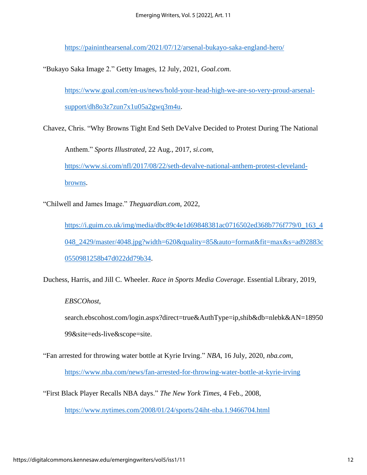<https://paininthearsenal.com/2021/07/12/arsenal-bukayo-saka-england-hero/>

"Bukayo Saka Image 2." Getty Images, 12 July, 2021, *Goal.com*.

[https://www.goal.com/en-us/news/hold-your-head-high-we-are-so-very-proud-arsenal](https://www.goal.com/en-us/news/hold-your-head-high-we-are-so-very-proud-arsenal-support/dh8o3z7zun7x1u05a2gwq3m4u)[support/dh8o3z7zun7x1u05a2gwq3m4u.](https://www.goal.com/en-us/news/hold-your-head-high-we-are-so-very-proud-arsenal-support/dh8o3z7zun7x1u05a2gwq3m4u)

Chavez, Chris. "Why Browns Tight End Seth DeValve Decided to Protest During The National

Anthem." *Sports Illustrated*, 22 Aug., 2017, *si.com,*

[https://www.si.com/nfl/2017/08/22/seth-devalve-national-anthem-protest-cleveland](https://www.si.com/nfl/2017/08/22/seth-devalve-national-anthem-protest-cleveland-browns)[browns.](https://www.si.com/nfl/2017/08/22/seth-devalve-national-anthem-protest-cleveland-browns)

"Chilwell and James Image." *Theguardian.com*, 2022,

[https://i.guim.co.uk/img/media/dbc89c4e1d69848381ac0716502ed368b776f779/0\\_163\\_4](https://i.guim.co.uk/img/media/dbc89c4e1d69848381ac0716502ed368b776f779/0_163_4048_2429/master/4048.jpg?width=620&quality=85&auto=format&fit=max&s=ad92883c0550981258b47d022dd79b34) [048\\_2429/master/4048.jpg?width=620&quality=85&auto=format&fit=max&s=ad92883c](https://i.guim.co.uk/img/media/dbc89c4e1d69848381ac0716502ed368b776f779/0_163_4048_2429/master/4048.jpg?width=620&quality=85&auto=format&fit=max&s=ad92883c0550981258b47d022dd79b34) [0550981258b47d022dd79b34.](https://i.guim.co.uk/img/media/dbc89c4e1d69848381ac0716502ed368b776f779/0_163_4048_2429/master/4048.jpg?width=620&quality=85&auto=format&fit=max&s=ad92883c0550981258b47d022dd79b34)

Duchess, Harris, and Jill C. Wheeler. *Race in Sports Media Coverage*. Essential Library, 2019,

*EBSCOhost*,

search.ebscohost.com/login.aspx?direct=true&AuthType=ip,shib&db=nlebk&AN=18950 99&site=eds-live&scope=site.

"Fan arrested for throwing water bottle at Kyrie Irving." *NBA*, 16 July, 2020, *nba.com*,

<https://www.nba.com/news/fan-arrested-for-throwing-water-bottle-at-kyrie-irving>

"First Black Player Recalls NBA days." *The New York Times*, 4 Feb., 2008,

<https://www.nytimes.com/2008/01/24/sports/24iht-nba.1.9466704.html>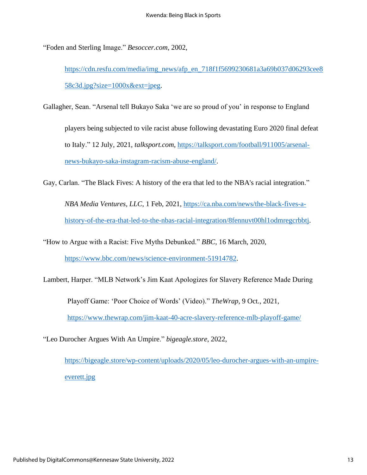"Foden and Sterling Image." *Besoccer.com*, 2002,

[https://cdn.resfu.com/media/img\\_news/afp\\_en\\_718f1f5699230681a3a69b037d06293cee8](https://cdn.resfu.com/media/img_news/afp_en_718f1f5699230681a3a69b037d06293cee858c3d.jpg?size=1000x&ext=jpeg) [58c3d.jpg?size=1000x&ext=jpeg.](https://cdn.resfu.com/media/img_news/afp_en_718f1f5699230681a3a69b037d06293cee858c3d.jpg?size=1000x&ext=jpeg)

Gallagher, Sean. "Arsenal tell Bukayo Saka 'we are so proud of you' in response to England

players being subjected to vile racist abuse following devastating Euro 2020 final defeat to Italy." 12 July, 2021, *talksport.com*, [https://talksport.com/football/911005/arsenal](https://talksport.com/football/911005/arsenal-news-bukayo-saka-instagram-racism-abuse-england/)[news-bukayo-saka-instagram-racism-abuse-england/.](https://talksport.com/football/911005/arsenal-news-bukayo-saka-instagram-racism-abuse-england/)

Gay, Carlan. "The Black Fives: A history of the era that led to the NBA's racial integration."

*NBA Media Ventures, LLC*, 1 Feb, 2021, [https://ca.nba.com/news/the-black-fives-a](https://ca.nba.com/news/the-black-fives-a-history-of-the-era-that-led-to-the-nbas-racial-integration/8fennuvt00hl1odmregcrbbtj)[history-of-the-era-that-led-to-the-nbas-racial-integration/8fennuvt00hl1odmregcrbbtj.](https://ca.nba.com/news/the-black-fives-a-history-of-the-era-that-led-to-the-nbas-racial-integration/8fennuvt00hl1odmregcrbbtj)

"How to Argue with a Racist: Five Myths Debunked." *BBC*, 16 March, 2020,

[https://www.bbc.com/news/science-environment-51914782.](https://www.bbc.com/news/science-environment-51914782)

Lambert, Harper. "MLB Network's Jim Kaat Apologizes for Slavery Reference Made During

Playoff Game: 'Poor Choice of Words' (Video)." *TheWrap*, 9 Oct., 2021, <https://www.thewrap.com/jim-kaat-40-acre-slavery-reference-mlb-playoff-game/>

"Leo Durocher Argues With An Umpire." *bigeagle.store*, 2022,

[https://bigeagle.store/wp-content/uploads/2020/05/leo-durocher-argues-with-an-umpire](https://bigeagle.store/wp-content/uploads/2020/05/leo-durocher-argues-with-an-umpire-everett.jpg)[everett.jpg](https://bigeagle.store/wp-content/uploads/2020/05/leo-durocher-argues-with-an-umpire-everett.jpg)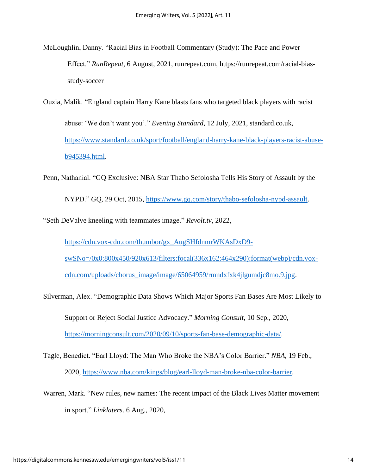- McLoughlin, Danny. "Racial Bias in Football Commentary (Study): The Pace and Power Effect." *RunRepeat,* 6 August, 2021, runrepeat.com, https://runrepeat.com/racial-biasstudy-soccer
- Ouzia, Malik. "England captain Harry Kane blasts fans who targeted black players with racist abuse: 'We don't want you'." *Evening Standard*, 12 July, 2021, standard.co.uk, [https://www.standard.co.uk/sport/football/england-harry-kane-black-players-racist-abuse](https://www.standard.co.uk/sport/football/england-harry-kane-black-players-racist-abuse-b945394.html)[b945394.html.](https://www.standard.co.uk/sport/football/england-harry-kane-black-players-racist-abuse-b945394.html)
- Penn, Nathanial. "GQ Exclusive: NBA Star Thabo Sefolosha Tells His Story of Assault by the NYPD." *GQ*, 29 Oct, 2015, [https://www.gq.com/story/thabo-sefolosha-nypd-assault.](https://www.gq.com/story/thabo-sefolosha-nypd-assault)

"Seth DeValve kneeling with teammates image." *Revolt.tv*, 2022,

[https://cdn.vox-cdn.com/thumbor/gx\\_AugSHfdnmrWKAsDxD9](https://cdn.vox-cdn.com/thumbor/gx_AugSHfdnmrWKAsDxD9-swSNo=/0x0:800x450/920x613/filters:focal(336x162:464x290):format(webp)/cdn.vox-cdn.com/uploads/chorus_image/image/65064959/rmndxfxk4jlgumdjc8mo.9.jpg) [swSNo=/0x0:800x450/920x613/filters:focal\(336x162:464x290\):format\(webp\)/cdn.vox](https://cdn.vox-cdn.com/thumbor/gx_AugSHfdnmrWKAsDxD9-swSNo=/0x0:800x450/920x613/filters:focal(336x162:464x290):format(webp)/cdn.vox-cdn.com/uploads/chorus_image/image/65064959/rmndxfxk4jlgumdjc8mo.9.jpg)[cdn.com/uploads/chorus\\_image/image/65064959/rmndxfxk4jlgumdjc8mo.9.jpg.](https://cdn.vox-cdn.com/thumbor/gx_AugSHfdnmrWKAsDxD9-swSNo=/0x0:800x450/920x613/filters:focal(336x162:464x290):format(webp)/cdn.vox-cdn.com/uploads/chorus_image/image/65064959/rmndxfxk4jlgumdjc8mo.9.jpg)

- Silverman, Alex. "Demographic Data Shows Which Major Sports Fan Bases Are Most Likely to Support or Reject Social Justice Advocacy." *Morning Consult,* 10 Sep., 2020, [https://morningconsult.com/2020/09/10/sports-fan-base-demographic-data/.](https://morningconsult.com/2020/09/10/sports-fan-base-demographic-data/)
- Tagle, Benedict. "Earl Lloyd: The Man Who Broke the NBA's Color Barrier." *NBA*, 19 Feb., 2020, [https://www.nba.com/kings/blog/earl-lloyd-man-broke-nba-color-barrier.](https://www.nba.com/kings/blog/earl-lloyd-man-broke-nba-color-barrier)
- Warren, Mark. "New rules, new names: The recent impact of the Black Lives Matter movement in sport." *Linklaters*. 6 Aug., 2020,